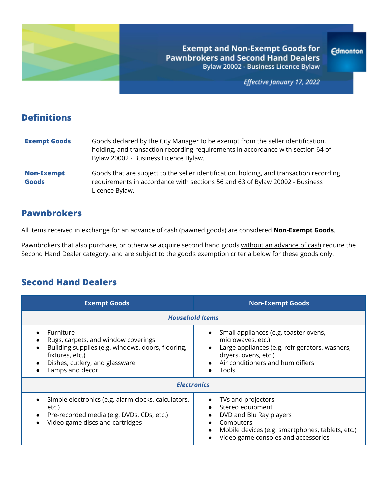

**Exempt and Non-Exempt Goods for Pawnbrokers and Second Hand Dealers** Bylaw 20002 - Business Licence Bylaw

Effective January 17, 2022

**Edmonton** 

## **Definitions**

| <b>Exempt Goods</b>               | Goods declared by the City Manager to be exempt from the seller identification,<br>holding, and transaction recording requirements in accordance with section 64 of<br>Bylaw 20002 - Business Licence Bylaw. |
|-----------------------------------|--------------------------------------------------------------------------------------------------------------------------------------------------------------------------------------------------------------|
| <b>Non-Exempt</b><br><b>Goods</b> | Goods that are subject to the seller identification, holding, and transaction recording<br>requirements in accordance with sections 56 and 63 of Bylaw 20002 - Business<br>Licence Bylaw.                    |

## **Pawnbrokers**

All items received in exchange for an advance of cash (pawned goods) are considered **Non-Exempt Goods**.

Pawnbrokers that also purchase, or otherwise acquire second hand goods without an advance of cash require the Second Hand Dealer category, and are subject to the goods exemption criteria below for these goods only.

## **Second Hand Dealers**

| <b>Exempt Goods</b>                                                                                                                                                           | <b>Non-Exempt Goods</b>                                                                                                                                                                  |  |  |
|-------------------------------------------------------------------------------------------------------------------------------------------------------------------------------|------------------------------------------------------------------------------------------------------------------------------------------------------------------------------------------|--|--|
| <b>Household Items</b>                                                                                                                                                        |                                                                                                                                                                                          |  |  |
| Furniture<br>Rugs, carpets, and window coverings<br>Building supplies (e.g. windows, doors, flooring,<br>fixtures, etc.)<br>Dishes, cutlery, and glassware<br>Lamps and decor | Small appliances (e.g. toaster ovens,<br>microwaves, etc.)<br>Large appliances (e.g. refrigerators, washers,<br>dryers, ovens, etc.)<br>Air conditioners and humidifiers<br><b>Tools</b> |  |  |
| <b>Electronics</b>                                                                                                                                                            |                                                                                                                                                                                          |  |  |
| Simple electronics (e.g. alarm clocks, calculators,<br>etc.)<br>Pre-recorded media (e.g. DVDs, CDs, etc.)<br>Video game discs and cartridges                                  | TVs and projectors<br>Stereo equipment<br>DVD and Blu Ray players<br>Computers<br>Mobile devices (e.g. smartphones, tablets, etc.)<br>Video game consoles and accessories                |  |  |